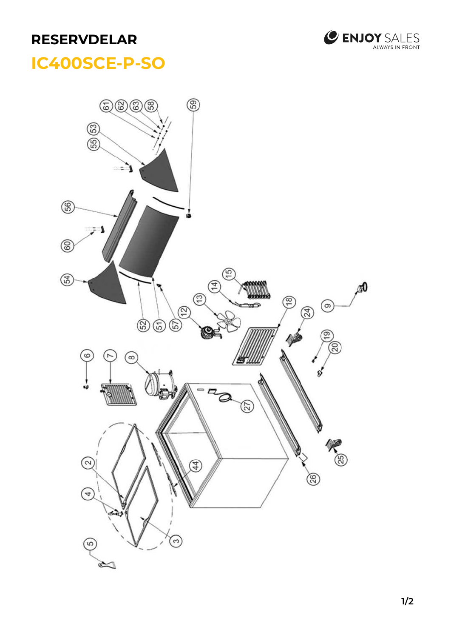## **RESERVDELAR**



## **IC400SCE-P-SO**